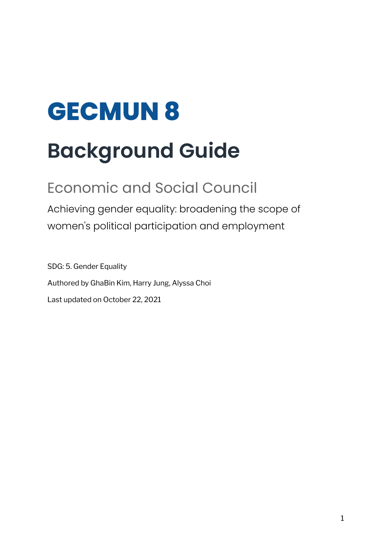# **GECMUN 8**

# **Background Guide**

## Economic and Social Council

Achieving gender equality: broadening the scope of women's political participation and employment

SDG: 5. Gender Equality Authored by GhaBin Kim, Harry Jung, Alyssa Choi Last updated on October 22, 2021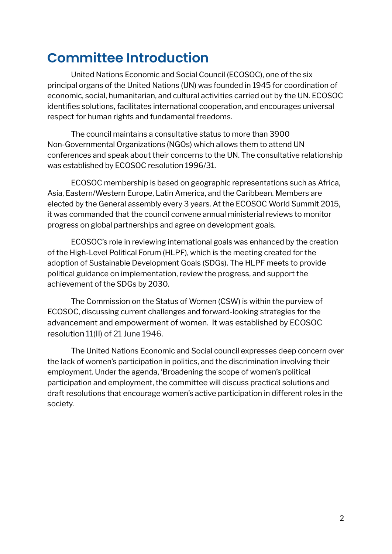### **Committee Introduction**

United Nations Economic and Social Council (ECOSOC), one of the six principal organs of the United Nations (UN) was founded in 1945 for coordination of economic, social, humanitarian, and cultural activities carried out by the UN. ECOSOC identifies solutions, facilitates international cooperation, and encourages universal respect for human rights and fundamental freedoms.

The council maintains a consultative status to more than 3900 Non-Governmental Organizations (NGOs) which allows them to attend UN conferences and speak about their concerns to the UN. The consultative relationship was established by ECOSOC resolution 1996/31.

ECOSOC membership is based on geographic representations such as Africa, Asia, Eastern/Western Europe, Latin America, and the Caribbean. Members are elected by the General assembly every 3 years. At the ECOSOC World Summit 2015, it was commanded that the council convene annual ministerial reviews to monitor progress on global partnerships and agree on development goals.

ECOSOC's role in reviewing international goals was enhanced by the creation of the High-Level Political Forum (HLPF), which is the meeting created for the adoption of Sustainable Development Goals (SDGs). The HLPF meets to provide political guidance on implementation, review the progress, and support the achievement of the SDGs by 2030.

The Commission on the Status of Women (CSW) is within the purview of ECOSOC, discussing current challenges and forward-looking strategies for the advancement and empowerment of women. It was established by ECOSOC resolution 11(II) of 21 June 1946.

The United Nations Economic and Social council expresses deep concern over the lack of women's participation in politics, and the discrimination involving their employment. Under the agenda, 'Broadening the scope of women's political participation and employment, the committee will discuss practical solutions and draft resolutions that encourage women's active participation in different roles in the society.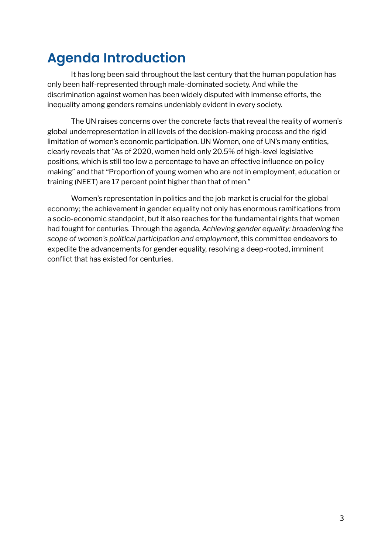### **Agenda Introduction**

It has long been said throughout the last century that the human population has only been half-represented through male-dominated society. And while the discrimination against women has been widely disputed with immense efforts, the inequality among genders remains undeniably evident in every society.

The UN raises concerns over the concrete facts that reveal the reality of women's global underrepresentation in all levels of the decision-making process and the rigid limitation of women's economic participation. UN Women, one of UN's many entities, clearly reveals that "As of 2020, women held only 20.5% of high-level legislative positions, which is still too low a percentage to have an effective influence on policy making" and that "Proportion of young women who are not in employment, education or training (NEET) are 17 percent point higher than that of men."

Women's representation in politics and the job market is crucial for the global economy; the achievement in gender equality not only has enormous ramifications from a socio-economic standpoint, but it also reaches for the fundamental rights that women had fought for centuries. Through the agenda, *Achieving gender equality: broadening the scope of women's political participation and employment*, this committee endeavors to expedite the advancements for gender equality, resolving a deep-rooted, imminent conflict that has existed for centuries.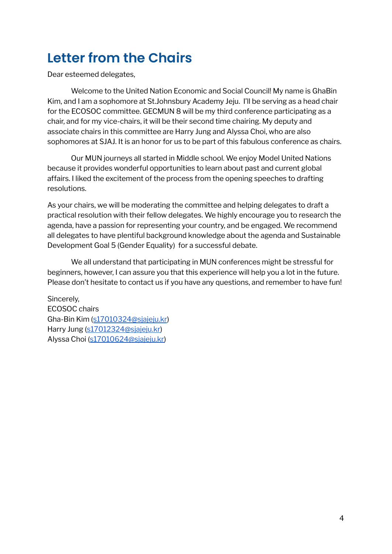### **Letter from the Chairs**

Dear esteemed delegates,

Welcome to the United Nation Economic and Social Council! My name is GhaBin Kim, and I am a sophomore at St.Johnsbury Academy Jeju. I'll be serving as a head chair for the ECOSOC committee. GECMUN 8 will be my third conference participating as a chair, and for my vice-chairs, it will be their second time chairing. My deputy and associate chairs in this committee are Harry Jung and Alyssa Choi, who are also sophomores at SJAJ. It is an honor for us to be part of this fabulous conference as chairs.

Our MUN journeys all started in Middle school. We enjoy Model United Nations because it provides wonderful opportunities to learn about past and current global affairs. I liked the excitement of the process from the opening speeches to drafting resolutions.

As your chairs, we will be moderating the committee and helping delegates to draft a practical resolution with their fellow delegates. We highly encourage you to research the agenda, have a passion for representing your country, and be engaged. We recommend all delegates to have plentiful background knowledge about the agenda and Sustainable Development Goal 5 (Gender Equality) for a successful debate.

We all understand that participating in MUN conferences might be stressful for beginners, however, I can assure you that this experience will help you a lot in the future. Please don't hesitate to contact us if you have any questions, and remember to have fun!

Sincerely, ECOSOC chairs Gha-Bin Kim ([s17010324@sjajeju.kr](mailto:s17010324@sjajeju.kr)) Harry Jung [\(s17012324@sjajeju.kr\)](mailto:s17012324@sjajeju.kr) Alyssa Choi ([s17010624@sjajeju.kr\)](mailto:s17010624@sjajeju.kr)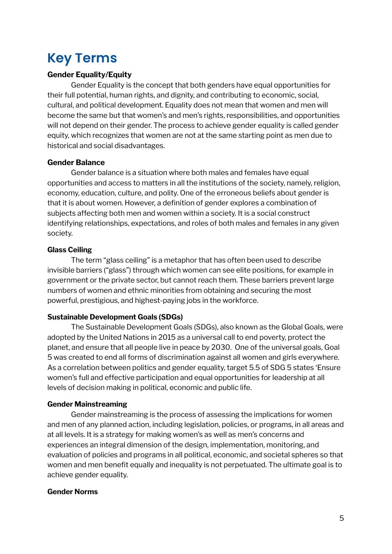### **Key Terms**

#### **Gender Equality/Equity**

Gender Equality is the concept that both genders have equal opportunities for their full potential, human rights, and dignity, and contributing to economic, social, cultural, and political development. Equality does not mean that women and men will become the same but that women's and men's rights, responsibilities, and opportunities will not depend on their gender. The process to achieve gender equality is called gender equity, which recognizes that women are not at the same starting point as men due to historical and social disadvantages.

#### **Gender Balance**

Gender balance is a situation where both males and females have equal opportunities and access to matters in all the institutions of the society, namely, religion, economy, education, culture, and polity. One of the erroneous beliefs about gender is that it is about women. However, a definition of gender explores a combination of subjects affecting both men and women within a society. It is a social construct identifying relationships, expectations, and roles of both males and females in any given society.

#### **Glass Ceiling**

The term "glass ceiling" is a metaphor that has often been used to describe invisible barriers ("glass") through which women can see elite positions, for example in government or the private sector, but cannot reach them. These barriers prevent large numbers of women and ethnic minorities from obtaining and securing the most powerful, prestigious, and highest-paying jobs in the workforce.

#### **Sustainable Development Goals (SDGs)**

The Sustainable Development Goals (SDGs), also known as the Global Goals, were adopted by the United Nations in 2015 as a universal call to end poverty, protect the planet, and ensure that all people live in peace by 2030. One of the universal goals, Goal 5 was created to end all forms of discrimination against all women and girls everywhere. As a correlation between politics and gender equality, target 5.5 of SDG 5 states 'Ensure women's full and effective participation and equal opportunities for leadership at all levels of decision making in political, economic and public life.

#### **Gender Mainstreaming**

Gender mainstreaming is the process of assessing the implications for women and men of any planned action, including legislation, policies, or programs, in all areas and at all levels. It is a strategy for making women's as well as men's concerns and experiences an integral dimension of the design, implementation, monitoring, and evaluation of policies and programs in all political, economic, and societal spheres so that women and men benefit equally and inequality is not perpetuated. The ultimate goal is to achieve gender equality.

#### **Gender Norms**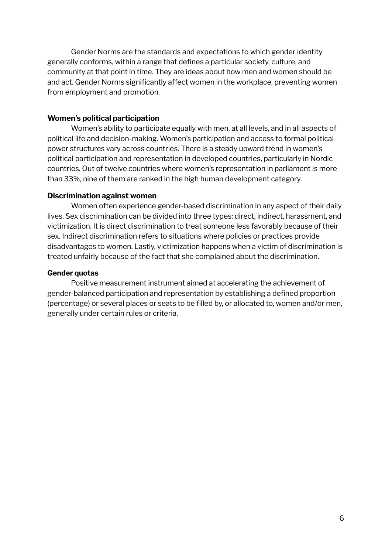Gender Norms are the standards and expectations to which gender identity generally conforms, within a range that defines a particular society, culture, and community at that point in time. They are ideas about how men and women should be and act. Gender Norms significantly affect women in the workplace, preventing women from employment and promotion.

#### **Women's political participation**

Women's ability to participate equally with men, at all levels, and in all aspects of political life and decision-making. Women's participation and access to formal political power structures vary across countries. There is a steady upward trend in women's political participation and representation in developed countries, particularly in Nordic countries. Out of twelve countries where women's representation in parliament is more than 33%, nine of them are ranked in the high human development category.

#### **Discrimination against women**

Women often experience gender-based discrimination in any aspect of their daily lives. Sex discrimination can be divided into three types: direct, indirect, harassment, and victimization. It is direct discrimination to treat someone less favorably because of their sex. Indirect discrimination refers to situations where policies or practices provide disadvantages to women. Lastly, victimization happens when a victim of discrimination is treated unfairly because of the fact that she complained about the discrimination.

#### **Gender quotas**

Positive measurement instrument aimed at accelerating the achievement of gender-balanced participation and representation by establishing a defined proportion (percentage) or several places or seats to be filled by, or allocated to, women and/or men, generally under certain rules or criteria.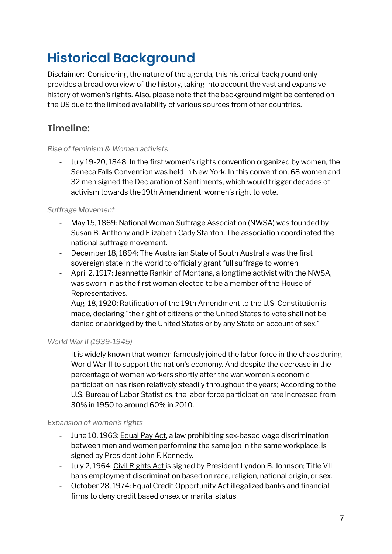## **Historical Background**

Disclaimer: Considering the nature of the agenda, this historical background only provides a broad overview of the history, taking into account the vast and expansive history of women's rights. Also, please note that the background might be centered on the US due to the limited availability of various sources from other countries.

### **Timeline:**

#### *Rise of feminism & Women activists*

July 19-20, 1848: In the first women's rights convention organized by women, the Seneca Falls Convention was held in New York. In this convention, 68 women and 32 men signed the Declaration of Sentiments, which would trigger decades of activism towards the 19th Amendment: women's right to vote.

#### *Suffrage Movement*

- May 15, 1869: National Woman Suffrage Association (NWSA) was founded by Susan B. Anthony and Elizabeth Cady Stanton. The association coordinated the national suffrage movement.
- December 18, 1894: The Australian State of South Australia was the first sovereign state in the world to officially grant full suffrage to women.
- April 2, 1917: Jeannette Rankin of Montana, a longtime activist with the NWSA, was sworn in as the first woman elected to be a member of the House of Representatives.
- Aug 18, 1920: Ratification of the 19th Amendment to the U.S. Constitution is made, declaring "the right of citizens of the United States to vote shall not be denied or abridged by the United States or by any State on account of sex."

#### *World War II (1939-1945)*

- It is widely known that women famously joined the labor force in the chaos during World War II to support the nation's economy. And despite the decrease in the percentage of women workers shortly after the war, women's economic participation has risen relatively steadily throughout the years; According to the U.S. Bureau of Labor Statistics, the labor force participation rate increased from 30% in 1950 to [around](https://fred.stlouisfed.org/series/LNS11300002) 60% in 2010.

#### *Expansion of women's rights*

- June 10, 1963: Equal Pay Act, a law prohibiting sex-based wage discrimination between men and women performing the same job in the same workplace, is signed by President John F. Kennedy.
- July 2, 1964: Civil Rights Act is signed by President Lyndon B. Johnson; Title VII bans employment discrimination based on race, religion, national origin, or sex.
- October 28, 1974: Equal Credit Opportunity Act illegalized banks and financial firms to deny credit based onsex or marital status.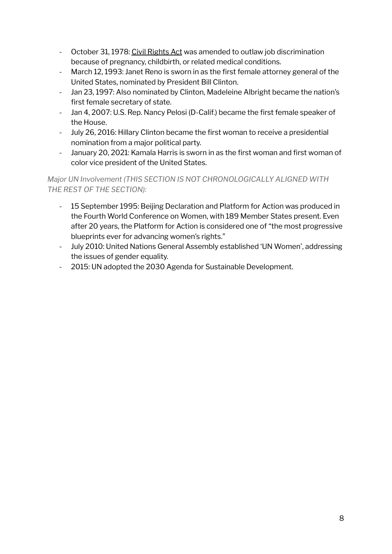- October 31, 1978: Civil Rights Act was amended to outlaw job discrimination because of pregnancy, childbirth, or related medical conditions.
- March 12, 1993: Janet Reno is sworn in as the first female attorney general of the United States, nominated by President Bill Clinton.
- Jan 23, 1997: Also nominated by Clinton, Madeleine Albright became the nation's first female secretary of state.
- Jan 4, 2007: U.S. Rep. Nancy Pelosi (D-Calif.) became the first female speaker of the House.
- July 26, 2016: Hillary Clinton became the first woman to receive a presidential nomination from a major political party.
- January 20, 2021: Kamala Harris is sworn in as the first woman and first woman of color vice president of the United States.

#### *Major UN Involvement (THIS SECTION IS NOT CHRONOLOGICALLY ALIGNED WITH THE REST OF THE SECTION):*

- 15 September 1995: Beijing Declaration and Platform for Action was produced in the Fourth World Conference on Women, with 189 Member States present. Even after 20 years, the Platform for Action is considered one of "the most progressive blueprints ever for advancing women's rights."
- July 2010: United Nations General Assembly established 'UN Women', addressing the issues of gender equality.
- 2015: UN adopted the 2030 Agenda for Sustainable Development.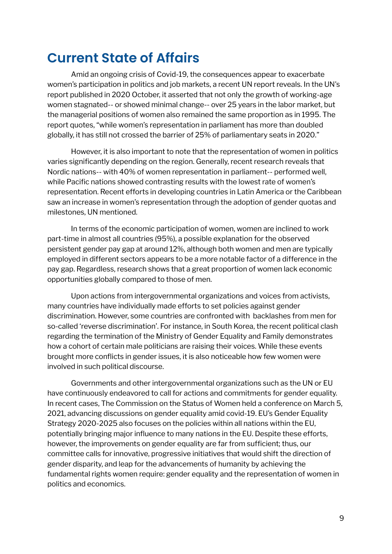### **Current State of Affairs**

Amid an ongoing crisis of Covid-19, the consequences appear to exacerbate women's participation in politics and job markets, a recent UN report reveals. In the UN's report published in 2020 October, it asserted that not only the growth of working-age women stagnated-- or showed minimal change-- over 25 years in the labor market, but the managerial positions of women also remained the same proportion as in 1995. The report quotes, "while women's representation in parliament has more than doubled globally, it has still not crossed the barrier of 25% of parliamentary seats in 2020."

However, it is also important to note that the representation of women in politics varies significantly depending on the region. Generally, recent research reveals that Nordic nations-- with 40% of women representation in parliament-- performed well, while Pacific nations showed contrasting results with the lowest rate of women's representation. Recent efforts in developing countries in Latin America or the Caribbean saw an increase in women's representation through the adoption of gender quotas and milestones, UN mentioned.

In terms of the economic participation of women, women are inclined to work part-time in almost all countries (95%), a possible explanation for the observed persistent gender pay gap at around 12%, although both women and men are typically employed in different sectors appears to be a more notable factor of a difference in the pay gap. Regardless, research shows that a great proportion of women lack economic opportunities globally compared to those of men.

Upon actions from intergovernmental organizations and voices from activists, many countries have individually made efforts to set policies against gender discrimination. However, some countries are confronted with backlashes from men for so-called 'reverse discrimination'. For instance, in South Korea, the recent political clash regarding the termination of the Ministry of Gender Equality and Family demonstrates how a cohort of certain male politicians are raising their voices. While these events brought more conflicts in gender issues, it is also noticeable how few women were involved in such political discourse.

Governments and other intergovernmental organizations such as the UN or EU have continuously endeavored to call for actions and commitments for gender equality. In recent cases, The Commission on the Status of Women held a conference on March 5, 2021, advancing discussions on gender equality amid covid-19. EU's Gender Equality Strategy 2020-2025 also focuses on the policies within all nations within the EU, potentially bringing major influence to many nations in the EU. Despite these efforts, however, the improvements on gender equality are far from sufficient; thus, our committee calls for innovative, progressive initiatives that would shift the direction of gender disparity, and leap for the advancements of humanity by achieving the fundamental rights women require: gender equality and the representation of women in politics and economics.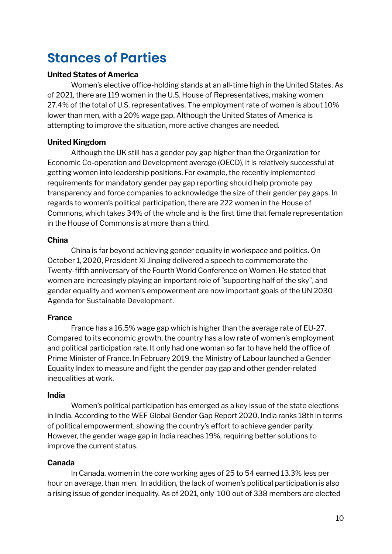### **Stances of Parties**

#### **United States of America**

Women's elective office-holding stands at an all-time high in the United States. As of 2021, there are 119 women in the U.S. House of Representatives, making women 27.4% of the total of U.S. representatives. The employment rate of women is about 10% lower than men, with a 20% wage gap. Although the United States of America is attempting to improve the situation, more active changes are needed.

#### **United Kingdom**

Although the UK still has a gender pay gap higher than the Organization for Economic Co-operation and Development average (OECD), it is relatively successful at getting women into leadership positions. For example, the recently implemented requirements for mandatory gender pay gap reporting should help promote pay transparency and force companies to acknowledge the size of their gender pay gaps. In regards to women's political participation, there are 222 women in the House of Commons, which takes 34% of the whole and is the first time that female representation in the House of Commons is at more than a third.

#### **China**

China is far beyond achieving gender equality in workspace and politics. On October 1, 2020, President Xi Jinping delivered a speech to commemorate the Twenty-fifth anniversary of the Fourth World Conference on Women. He stated that women are increasingly playing an important role of "supporting half of the sky", and gender equality and women's empowerment are now important goals of the UN 2030 Agenda for Sustainable Development.

#### **France**

France has a 16.5% wage gap which is higher than the average rate of EU-27. Compared to its economic growth, the country has a low rate of women's employment and political participation rate. It only had one woman so far to have held the office of Prime Minister of France. In February 2019, the Ministry of Labour launched a Gender Equality Index to measure and fight the gender pay gap and other gender-related inequalities at work.

#### **India**

Women's political participation has emerged as a key issue of the state elections in India. According to the WEF Global Gender Gap Report 2020, India ranks 18th in terms of political empowerment, showing the country's effort to achieve gender parity. However, the gender wage gap in India reaches 19%, requiring better solutions to improve the current status.

#### **Canada**

In Canada, women in the core working ages of 25 to 54 earned 13.3% less per hour on average, than men. In addition, the lack of women's political participation is also a rising issue of gender inequality. As of 2021, only 100 out of 338 members are elected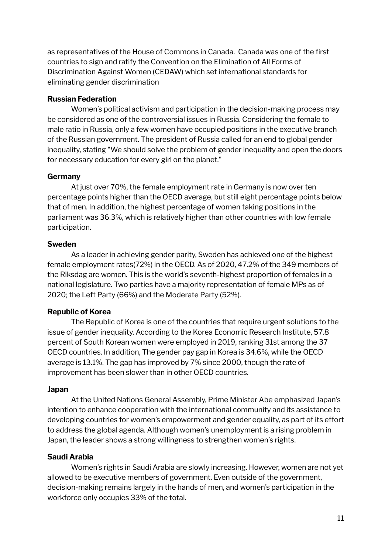as representatives of the House of Commons in Canada. Canada was one of the first countries to sign and ratify the Convention on the Elimination of All Forms of Discrimination Against Women (CEDAW) which set international standards for eliminating gender discrimination

#### **Russian Federation**

Women's political activism and participation in the decision-making process may be considered as one of the controversial issues in Russia. Considering the female to male ratio in Russia, only a few women have occupied positions in the executive branch of the Russian government. The president of Russia called for an end to global gender inequality, stating "We should solve the problem of gender inequality and open the doors for necessary education for every girl on the planet."

#### **Germany**

At just over 70%, the female employment rate in Germany is now over ten percentage points higher than the OECD average, but still eight percentage points below that of men. In addition, the highest percentage of women taking positions in the parliament was 36.3%, which is relatively higher than other countries with low female participation.

#### **Sweden**

As a leader in achieving gender parity, Sweden has achieved one of the highest female employment rates(72%) in the OECD. As of 2020, 47.2% of the 349 members of the Riksdag are women. This is the world's seventh-highest proportion of females in a national legislature. Two parties have a majority representation of female MPs as of 2020; the Left Party (66%) and the Moderate Party (52%).

#### **Republic of Korea**

The Republic of Korea is one of the countries that require urgent solutions to the issue of gender inequality. According to the Korea Economic Research Institute, 57.8 percent of South Korean women were employed in 2019, ranking 31st among the 37 OECD countries. In addition, The gender pay gap in Korea is 34.6%, while the OECD average is 13.1%. The gap has improved by 7% since 2000, though the rate of improvement has been slower than in other OECD countries.

#### **Japan**

At the United Nations General Assembly, Prime Minister Abe emphasized Japan's intention to enhance cooperation with the international community and its assistance to developing countries for women's empowerment and gender equality, as part of its effort to address the global agenda. Although women's unemployment is a rising problem in Japan, the leader shows a strong willingness to strengthen women's rights.

#### **Saudi Arabia**

Women's rights in Saudi Arabia are slowly increasing. However, women are not yet allowed to be executive members of government. Even outside of the government, decision-making remains largely in the hands of men, and women's participation in the workforce only occupies 33% of the total.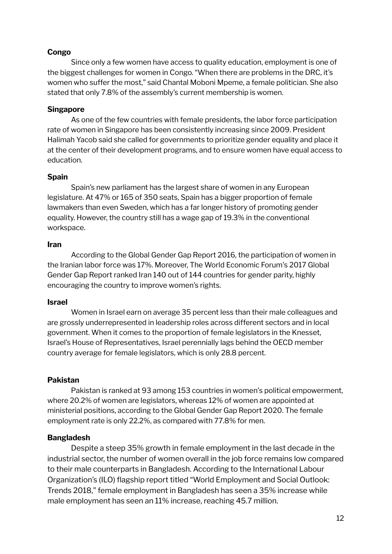#### **Congo**

Since only a few women have access to quality education, employment is one of the biggest challenges for women in Congo. "When there are problems in the DRC, it's women who suffer the most," said Chantal Moboni Mpeme, a female politician. She also stated that only 7.8% of the assembly's current membership is women.

#### **Singapore**

As one of the few countries with female presidents, the labor force participation rate of women in Singapore has been consistently increasing since 2009. President Halimah Yacob said she called for governments to prioritize gender equality and place it at the center of their development programs, and to ensure women have equal access to education.

#### **Spain**

Spain's new parliament has the largest share of women in any European legislature. At 47% or 165 of 350 seats, Spain has a bigger proportion of female lawmakers than even Sweden, which has a far longer history of promoting gender equality. However, the country still has a wage gap of 19.3% in the conventional workspace.

#### **Iran**

According to the Global Gender Gap Report 2016, the participation of women in the Iranian labor force was 17%. Moreover, The World Economic Forum's 2017 Global Gender Gap Report ranked Iran 140 out of 144 countries for gender parity, highly encouraging the country to improve women's rights.

#### **Israel**

Women in Israel earn on average 35 percent less than their male colleagues and are grossly underrepresented in leadership roles across different sectors and in local government. When it comes to the proportion of female legislators in the Knesset, Israel's House of Representatives, Israel perennially lags behind the OECD member country average for female legislators, which is only 28.8 percent.

#### **Pakistan**

Pakistan is ranked at 93 among 153 countries in women's political empowerment, where 20.2% of women are legislators, whereas 12% of women are appointed at ministerial positions, according to the Global Gender Gap Report 2020. The female employment rate is only 22.2%, as compared with 77.8% for men.

#### **Bangladesh**

Despite a steep 35% growth in female employment in the last decade in the industrial sector, the number of women overall in the job force remains low compared to their male counterparts in Bangladesh. According to the International Labour Organization's (ILO) flagship report titled "World Employment and Social Outlook: Trends 2018," female employment in Bangladesh has seen a 35% increase while male employment has seen an 11% increase, reaching 45.7 million.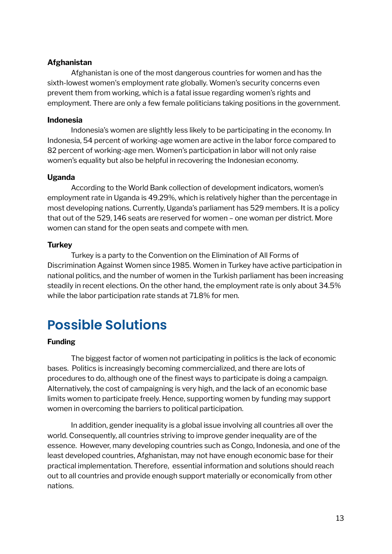#### **Afghanistan**

Afghanistan is one of the most dangerous countries for women and has the sixth-lowest women's employment rate globally. Women's security concerns even prevent them from working, which is a fatal issue regarding women's rights and employment. There are only a few female politicians taking positions in the government.

#### **Indonesia**

Indonesia's women are slightly less likely to be participating in the economy. In Indonesia, 54 percent of working-age women are active in the labor force compared to 82 percent of working-age men. Women's participation in labor will not only raise women's equality but also be helpful in recovering the Indonesian economy.

#### **Uganda**

According to the World Bank collection of development indicators, women's employment rate in Uganda is 49.29%, which is relatively higher than the percentage in most developing nations. Currently, Uganda's parliament has 529 members. It is a policy that out of the 529, 146 seats are reserved for women – one woman per district. More women can stand for the open seats and compete with men.

#### **Turkey**

Turkey is a party to the Convention on the Elimination of All Forms of Discrimination Against Women since 1985. Women in Turkey have active participation in national politics, and the number of women in the Turkish parliament has been increasing steadily in recent elections. On the other hand, the employment rate is only about 34.5% while the labor participation rate stands at 71.8% for men.

### **Possible Solutions**

#### **Funding**

The biggest factor of women not participating in politics is the lack of economic bases. Politics is increasingly becoming commercialized, and there are lots of procedures to do, although one of the finest ways to participate is doing a campaign. Alternatively, the cost of campaigning is very high, and the lack of an economic base limits women to participate freely. Hence, supporting women by funding may support women in overcoming the barriers to political participation.

In addition, gender inequality is a global issue involving all countries all over the world. Consequently, all countries striving to improve gender inequality are of the essence. However, many developing countries such as Congo, Indonesia, and one of the least developed countries, Afghanistan, may not have enough economic base for their practical implementation. Therefore, essential information and solutions should reach out to all countries and provide enough support materially or economically from other nations.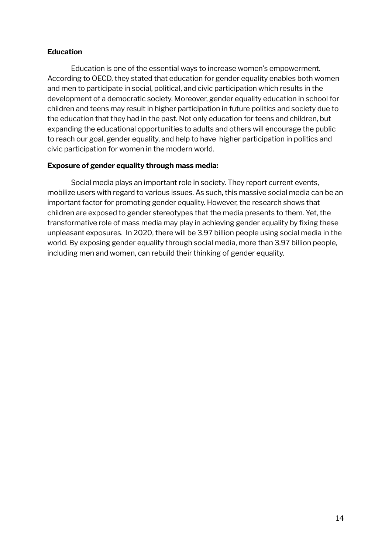#### **Education**

Education is one of the essential ways to increase women's empowerment. According to OECD, they stated that education for gender equality enables both women and men to participate in social, political, and civic participation which results in the development of a democratic society. Moreover, gender equality education in school for children and teens may result in higher participation in future politics and society due to the education that they had in the past. Not only education for teens and children, but expanding the educational opportunities to adults and others will encourage the public to reach our goal, gender equality, and help to have higher participation in politics and civic participation for women in the modern world.

#### **Exposure of gender equality through mass media:**

Social media plays an important role in society. They report current events, mobilize users with regard to various issues. As such, this massive social media can be an important factor for promoting gender equality. However, the research shows that children are exposed to gender stereotypes that the media presents to them. Yet, the transformative role of mass media may play in achieving gender equality by fixing these unpleasant exposures. In 2020, there will be 3.97 billion people using social media in the world. By exposing gender equality through social media, more than 3.97 billion people, including men and women, can rebuild their thinking of gender equality.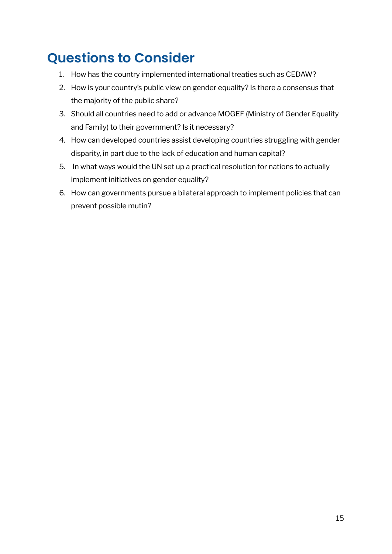### **Questions to Consider**

- 1. How has the country implemented international treaties such as CEDAW?
- 2. How is your country's public view on gender equality? Is there a consensus that the majority of the public share?
- 3. Should all countries need to add or advance MOGEF (Ministry of Gender Equality and Family) to their government? Is it necessary?
- 4. How can developed countries assist developing countries struggling with gender disparity, in part due to the lack of education and human capital?
- 5. In what ways would the UN set up a practical resolution for nations to actually implement initiatives on gender equality?
- 6. How can governments pursue a bilateral approach to implement policies that can prevent possible mutin?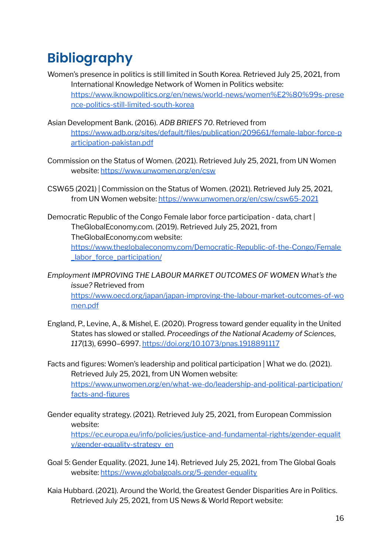### **Bibliography**

- Women's presence in politics is still limited in South Korea. Retrieved July 25, 2021, from International Knowledge Network of Women in Politics website: [https://www.iknowpolitics.org/en/news/world-news/women%E2%80%99s-prese](https://www.iknowpolitics.org/en/news/world-news/women%E2%80%99s-presence-politics-still-limited-south-korea) [nce-politics-still-limited-south-korea](https://www.iknowpolitics.org/en/news/world-news/women%E2%80%99s-presence-politics-still-limited-south-korea)
- Asian Development Bank. (2016). *ADB BRIEFS 70*. Retrieved from [https://www.adb.org/sites/default/files/publication/209661/female-labor-force-p](https://www.adb.org/sites/default/files/publication/209661/female-labor-force-participation-pakistan.pdf) [articipation-pakistan.pdf](https://www.adb.org/sites/default/files/publication/209661/female-labor-force-participation-pakistan.pdf)
- Commission on the Status of Women. (2021). Retrieved July 25, 2021, from UN Women website: <https://www.unwomen.org/en/csw>
- CSW65 (2021) | Commission on the Status of Women. (2021). Retrieved July 25, 2021, from UN Women website: <https://www.unwomen.org/en/csw/csw65-2021>
- Democratic Republic of the Congo Female labor force participation data, chart | TheGlobalEconomy.com. (2019). Retrieved July 25, 2021, from TheGlobalEconomy.com website: [https://www.theglobaleconomy.com/Democratic-Republic-of-the-Congo/Female](https://www.theglobaleconomy.com/Democratic-Republic-of-the-Congo/Female_labor_force_participation/) [\\_labor\\_force\\_participation/](https://www.theglobaleconomy.com/Democratic-Republic-of-the-Congo/Female_labor_force_participation/)
- *Employment IMPROVING THE LABOUR MARKET OUTCOMES OF WOMEN What's the issue?* Retrieved from [https://www.oecd.org/japan/japan-improving-the-labour-market-outcomes-of-wo](https://www.oecd.org/japan/japan-improving-the-labour-market-outcomes-of-women.pdf) [men.pdf](https://www.oecd.org/japan/japan-improving-the-labour-market-outcomes-of-women.pdf)
- England, P., Levine, A., & Mishel, E. (2020). Progress toward gender equality in the United States has slowed or stalled. *Proceedings of the National Academy of Sciences*, *117*(13), 6990–6997. <https://doi.org/10.1073/pnas.1918891117>
- Facts and figures: Women's leadership and political participation | What we do. (2021). Retrieved July 25, 2021, from UN Women website: [https://www.unwomen.org/en/what-we-do/leadership-and-political-participation/](https://www.unwomen.org/en/what-we-do/leadership-and-political-participation/facts-and-figures) [facts-and-figures](https://www.unwomen.org/en/what-we-do/leadership-and-political-participation/facts-and-figures)
- Gender equality strategy. (2021). Retrieved July 25, 2021, from European Commission website: [https://ec.europa.eu/info/policies/justice-and-fundamental-rights/gender-equalit](https://ec.europa.eu/info/policies/justice-and-fundamental-rights/gender-equality/gender-equality-strategy_en) [y/gender-equality-strategy\\_en](https://ec.europa.eu/info/policies/justice-and-fundamental-rights/gender-equality/gender-equality-strategy_en)
- Goal 5: Gender Equality. (2021, June 14). Retrieved July 25, 2021, from The Global Goals website: <https://www.globalgoals.org/5-gender-equality>
- Kaia Hubbard. (2021). Around the World, the Greatest Gender Disparities Are in Politics. Retrieved July 25, 2021, from US News & World Report website: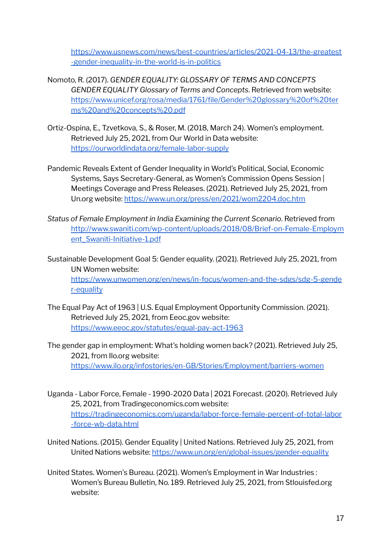[https://www.usnews.com/news/best-countries/articles/2021-04-13/the-greatest](https://www.usnews.com/news/best-countries/articles/2021-04-13/the-greatest-gender-inequality-in-the-world-is-in-politics) [-gender-inequality-in-the-world-is-in-politics](https://www.usnews.com/news/best-countries/articles/2021-04-13/the-greatest-gender-inequality-in-the-world-is-in-politics)

- Nomoto, R. (2017). *GENDER EQUALITY: GLOSSARY OF TERMS AND CONCEPTS GENDER EQUALITY Glossary of Terms and Concepts*. Retrieved from website: [https://www.unicef.org/rosa/media/1761/file/Gender%20glossary%20of%20ter](https://www.unicef.org/rosa/media/1761/file/Gender%20glossary%20of%20terms%20and%20concepts%20.pdf) [ms%20and%20concepts%20.pdf](https://www.unicef.org/rosa/media/1761/file/Gender%20glossary%20of%20terms%20and%20concepts%20.pdf)
- Ortiz-Ospina, E., Tzvetkova, S., & Roser, M. (2018, March 24). Women's employment. Retrieved July 25, 2021, from Our World in Data website: <https://ourworldindata.org/female-labor-supply>
- Pandemic Reveals Extent of Gender Inequality in World's Political, Social, Economic Systems, Says Secretary-General, as Women's Commission Opens Session | Meetings Coverage and Press Releases. (2021). Retrieved July 25, 2021, from Un.org website: <https://www.un.org/press/en/2021/wom2204.doc.htm>
- *Status of Female Employment in India Examining the Current Scenario*. Retrieved from [http://www.swaniti.com/wp-content/uploads/2018/08/Brief-on-Female-Employm](http://www.swaniti.com/wp-content/uploads/2018/08/Brief-on-Female-Employment_Swaniti-Initiative-1.pdf) ent Swaniti-Initiative-1.pdf
- Sustainable Development Goal 5: Gender equality. (2021). Retrieved July 25, 2021, from UN Women website: [https://www.unwomen.org/en/news/in-focus/women-and-the-sdgs/sdg-5-gende](https://www.unwomen.org/en/news/in-focus/women-and-the-sdgs/sdg-5-gender-equality) [r-equality](https://www.unwomen.org/en/news/in-focus/women-and-the-sdgs/sdg-5-gender-equality)
- The Equal Pay Act of 1963 | U.S. Equal Employment Opportunity Commission. (2021). Retrieved July 25, 2021, from Eeoc.gov website: <https://www.eeoc.gov/statutes/equal-pay-act-1963>
- The gender gap in employment: What's holding women back? (2021). Retrieved July 25, 2021, from Ilo.org website: <https://www.ilo.org/infostories/en-GB/Stories/Employment/barriers-women>
- Uganda Labor Force, Female 1990-2020 Data | 2021 Forecast. (2020). Retrieved July 25, 2021, from Tradingeconomics.com website: [https://tradingeconomics.com/uganda/labor-force-female-percent-of-total-labor](https://tradingeconomics.com/uganda/labor-force-female-percent-of-total-labor-force-wb-data.html) [-force-wb-data.html](https://tradingeconomics.com/uganda/labor-force-female-percent-of-total-labor-force-wb-data.html)
- United Nations. (2015). Gender Equality | United Nations. Retrieved July 25, 2021, from United Nations website: <https://www.un.org/en/global-issues/gender-equality>
- United States. Women's Bureau. (2021). Women's Employment in War Industries : Women's Bureau Bulletin, No. 189. Retrieved July 25, 2021, from Stlouisfed.org website: